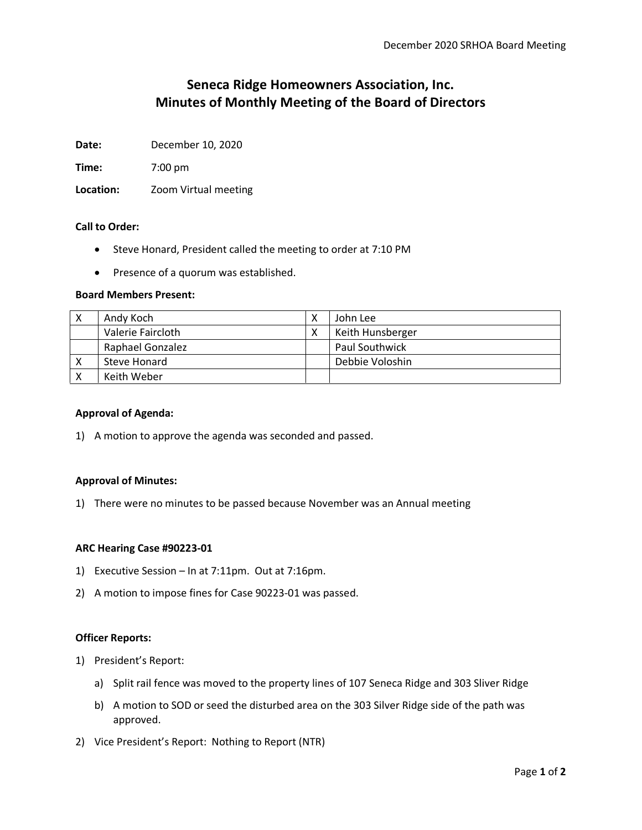# **Seneca Ridge Homeowners Association, Inc. Minutes of Monthly Meeting of the Board of Directors**

**Date:** December 10, 2020

**Time:** 7:00 pm

**Location:** Zoom Virtual meeting

## **Call to Order:**

- Steve Honard, President called the meeting to order at 7:10 PM
- Presence of a quorum was established.

## **Board Members Present:**

| Andy Koch         | John Lee              |
|-------------------|-----------------------|
| Valerie Faircloth | Keith Hunsberger      |
| Raphael Gonzalez  | <b>Paul Southwick</b> |
| Steve Honard      | Debbie Voloshin       |
| Keith Weber       |                       |

## **Approval of Agenda:**

1) A motion to approve the agenda was seconded and passed.

## **Approval of Minutes:**

1) There were no minutes to be passed because November was an Annual meeting

## **ARC Hearing Case #90223-01**

- 1) Executive Session In at 7:11pm. Out at 7:16pm.
- 2) A motion to impose fines for Case 90223-01 was passed.

## **Officer Reports:**

- 1) President's Report:
	- a) Split rail fence was moved to the property lines of 107 Seneca Ridge and 303 Sliver Ridge
	- b) A motion to SOD or seed the disturbed area on the 303 Silver Ridge side of the path was approved.
- 2) Vice President's Report: Nothing to Report (NTR)